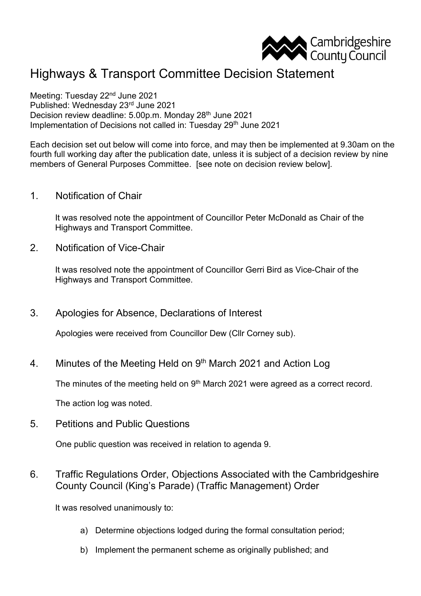

## Highways & Transport Committee Decision Statement

Meeting: Tuesday 22<sup>nd</sup> June 2021 Published: Wednesday 23rd June 2021 Decision review deadline: 5.00p.m. Monday 28th June 2021 Implementation of Decisions not called in: Tuesday 29<sup>th</sup> June 2021

Each decision set out below will come into force, and may then be implemented at 9.30am on the fourth full working day after the publication date, unless it is subject of a decision review by nine members of General Purposes Committee. [see note on decision review below].

1. Notification of Chair

It was resolved note the appointment of Councillor Peter McDonald as Chair of the Highways and Transport Committee.

2. Notification of Vice-Chair

It was resolved note the appointment of Councillor Gerri Bird as Vice-Chair of the Highways and Transport Committee.

3. Apologies for Absence, Declarations of Interest

Apologies were received from Councillor Dew (Cllr Corney sub).

4. Minutes of the Meeting Held on 9<sup>th</sup> March 2021 and Action Log

The minutes of the meeting held on 9<sup>th</sup> March 2021 were agreed as a correct record.

The action log was noted.

5. Petitions and Public Questions

One public question was received in relation to agenda 9.

6. Traffic Regulations Order, Objections Associated with the Cambridgeshire County Council (King's Parade) (Traffic Management) Order

It was resolved unanimously to:

- a) Determine objections lodged during the formal consultation period;
- b) Implement the permanent scheme as originally published; and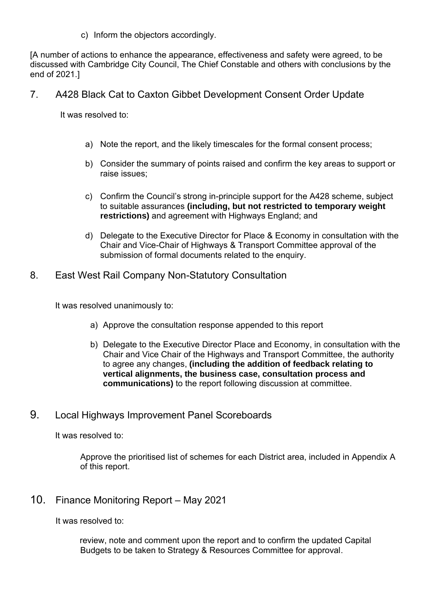c) Inform the objectors accordingly.

[A number of actions to enhance the appearance, effectiveness and safety were agreed, to be discussed with Cambridge City Council, The Chief Constable and others with conclusions by the end of 2021.]

7. A428 Black Cat to Caxton Gibbet Development Consent Order Update

It was resolved to:

- a) Note the report, and the likely timescales for the formal consent process;
- b) Consider the summary of points raised and confirm the key areas to support or raise issues;
- c) Confirm the Council's strong in-principle support for the A428 scheme, subject to suitable assurances **(including, but not restricted to temporary weight restrictions)** and agreement with Highways England; and
- d) Delegate to the Executive Director for Place & Economy in consultation with the Chair and Vice-Chair of Highways & Transport Committee approval of the submission of formal documents related to the enquiry.
- 8. East West Rail Company Non-Statutory Consultation

It was resolved unanimously to:

- a) Approve the consultation response appended to this report
- b) Delegate to the Executive Director Place and Economy, in consultation with the Chair and Vice Chair of the Highways and Transport Committee, the authority to agree any changes, **(including the addition of feedback relating to vertical alignments, the business case, consultation process and communications)** to the report following discussion at committee.
- 9. Local Highways Improvement Panel Scoreboards

It was resolved to:

Approve the prioritised list of schemes for each District area, included in Appendix A of this report.

10. Finance Monitoring Report – May 2021

It was resolved to:

review, note and comment upon the report and to confirm the updated Capital Budgets to be taken to Strategy & Resources Committee for approval.